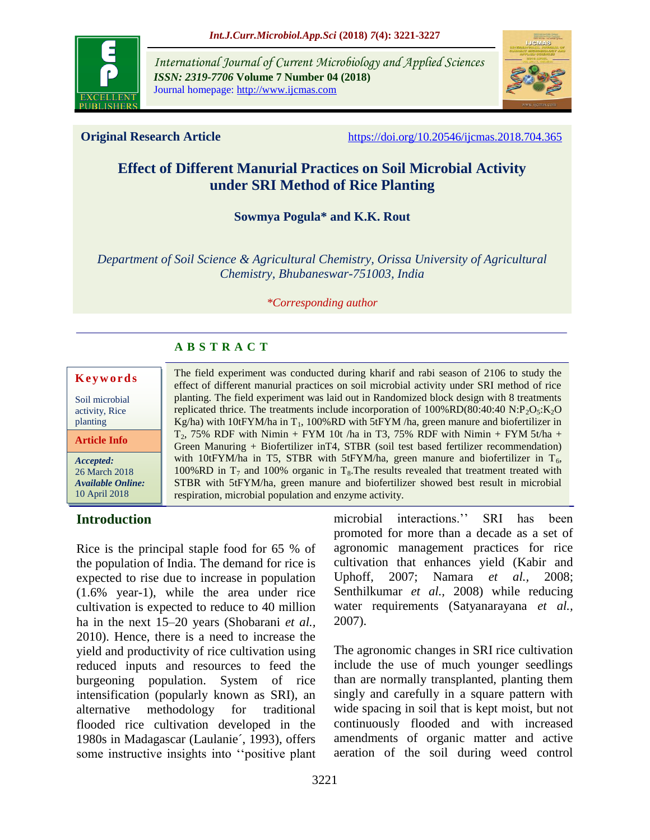

*International Journal of Current Microbiology and Applied Sciences ISSN: 2319-7706* **Volume 7 Number 04 (2018)**  Journal homepage: http://www.ijcmas.com



**Original Research Article** <https://doi.org/10.20546/ijcmas.2018.704.365>

# **Effect of Different Manurial Practices on Soil Microbial Activity under SRI Method of Rice Planting**

**Sowmya Pogula\* and K.K. Rout**

*Department of Soil Science & Agricultural Chemistry, Orissa University of Agricultural Chemistry, Bhubaneswar-751003, India*

#### *\*Corresponding author*

## **A B S T R A C T**

#### **K e y w o r d s** Soil microbial activity, Rice planting *Accepted:*  26 March 2018 *Available Online:* 10 April 2018 **Article Info**

The field experiment was conducted during kharif and rabi season of 2106 to study the effect of different manurial practices on soil microbial activity under SRI method of rice planting. The field experiment was laid out in Randomized block design with 8 treatments replicated thrice. The treatments include incorporation of  $100\%RD(80:40:40 N:P_2O<sub>5</sub>:K<sub>2</sub>O$ Kg/ha) with 10tFYM/ha in  $T_1$ , 100%RD with 5tFYM/ha, green manure and biofertilizer in  $T_2$ , 75% RDF with Nimin + FYM 10t /ha in T3, 75% RDF with Nimin + FYM 5t/ha + Green Manuring + Biofertilizer inT4, STBR (soil test based fertilizer recommendation) with 10tFYM/ha in T5, STBR with 5tFYM/ha, green manure and biofertilizer in  $T_6$ , 100%RD in  $T_7$  and 100% organic in  $T_8$ . The results revealed that treatment treated with STBR with 5tFYM/ha, green manure and biofertilizer showed best result in microbial respiration, microbial population and enzyme activity.

## **Introduction**

Rice is the principal staple food for 65 % of the population of India. The demand for rice is expected to rise due to increase in population (1.6% year-1), while the area under rice cultivation is expected to reduce to 40 million ha in the next 15–20 years (Shobarani *et al.,* 2010). Hence, there is a need to increase the yield and productivity of rice cultivation using reduced inputs and resources to feed the burgeoning population. System of rice intensification (popularly known as SRI), an alternative methodology for traditional flooded rice cultivation developed in the 1980s in Madagascar (Laulanie´, 1993), offers some instructive insights into ''positive plant microbial interactions.<sup>"</sup> SRI has been promoted for more than a decade as a set of agronomic management practices for rice cultivation that enhances yield (Kabir and Uphoff, 2007; Namara *et al.,* 2008; Senthilkumar *et al.,* 2008) while reducing water requirements (Satyanarayana *et al.,* 2007).

The agronomic changes in SRI rice cultivation include the use of much younger seedlings than are normally transplanted, planting them singly and carefully in a square pattern with wide spacing in soil that is kept moist, but not continuously flooded and with increased amendments of organic matter and active aeration of the soil during weed control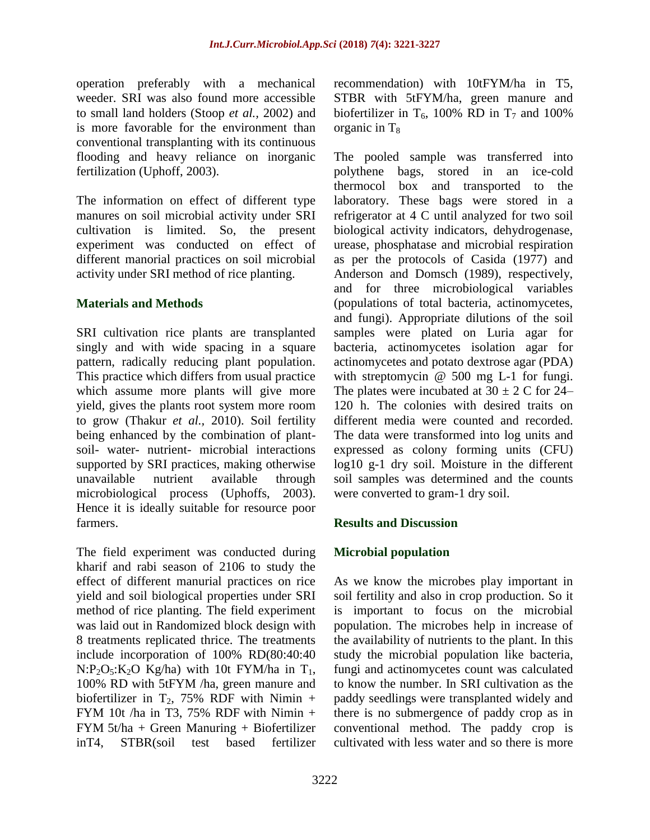operation preferably with a mechanical weeder. SRI was also found more accessible to small land holders (Stoop *et al.,* 2002) and is more favorable for the environment than conventional transplanting with its continuous flooding and heavy reliance on inorganic fertilization (Uphoff, 2003).

The information on effect of different type manures on soil microbial activity under SRI cultivation is limited. So, the present experiment was conducted on effect of different manorial practices on soil microbial activity under SRI method of rice planting.

#### **Materials and Methods**

SRI cultivation rice plants are transplanted singly and with wide spacing in a square pattern, radically reducing plant population. This practice which differs from usual practice which assume more plants will give more yield, gives the plants root system more room to grow (Thakur *et al.,* 2010). Soil fertility being enhanced by the combination of plantsoil- water- nutrient- microbial interactions supported by SRI practices, making otherwise unavailable nutrient available through microbiological process (Uphoffs, 2003). Hence it is ideally suitable for resource poor farmers.

The field experiment was conducted during kharif and rabi season of 2106 to study the effect of different manurial practices on rice yield and soil biological properties under SRI method of rice planting. The field experiment was laid out in Randomized block design with 8 treatments replicated thrice. The treatments include incorporation of 100% RD(80:40:40  $N:P_2O_5:K_2O$  Kg/ha) with 10t FYM/ha in T<sub>1</sub>, 100% RD with 5tFYM /ha, green manure and biofertilizer in  $T_2$ , 75% RDF with Nimin + FYM 10t /ha in T3, 75% RDF with Nimin + FYM 5t/ha + Green Manuring + Biofertilizer inT4, STBR(soil test based fertilizer recommendation) with 10tFYM/ha in T5, STBR with 5tFYM/ha, green manure and biofertilizer in  $T_6$ , 100% RD in  $T_7$  and 100% organic in  $T_8$ 

The pooled sample was transferred into polythene bags, stored in an ice-cold thermocol box and transported to the laboratory. These bags were stored in a refrigerator at 4 C until analyzed for two soil biological activity indicators, dehydrogenase, urease, phosphatase and microbial respiration as per the protocols of Casida (1977) and Anderson and Domsch (1989), respectively, and for three microbiological variables (populations of total bacteria, actinomycetes, and fungi). Appropriate dilutions of the soil samples were plated on Luria agar for bacteria, actinomycetes isolation agar for actinomycetes and potato dextrose agar (PDA) with streptomycin @ 500 mg L-1 for fungi. The plates were incubated at  $30 \pm 2$  C for 24– 120 h. The colonies with desired traits on different media were counted and recorded. The data were transformed into log units and expressed as colony forming units (CFU) log10 g-1 dry soil. Moisture in the different soil samples was determined and the counts were converted to gram-1 dry soil.

### **Results and Discussion**

### **Microbial population**

As we know the microbes play important in soil fertility and also in crop production. So it is important to focus on the microbial population. The microbes help in increase of the availability of nutrients to the plant. In this study the microbial population like bacteria, fungi and actinomycetes count was calculated to know the number. In SRI cultivation as the paddy seedlings were transplanted widely and there is no submergence of paddy crop as in conventional method. The paddy crop is cultivated with less water and so there is more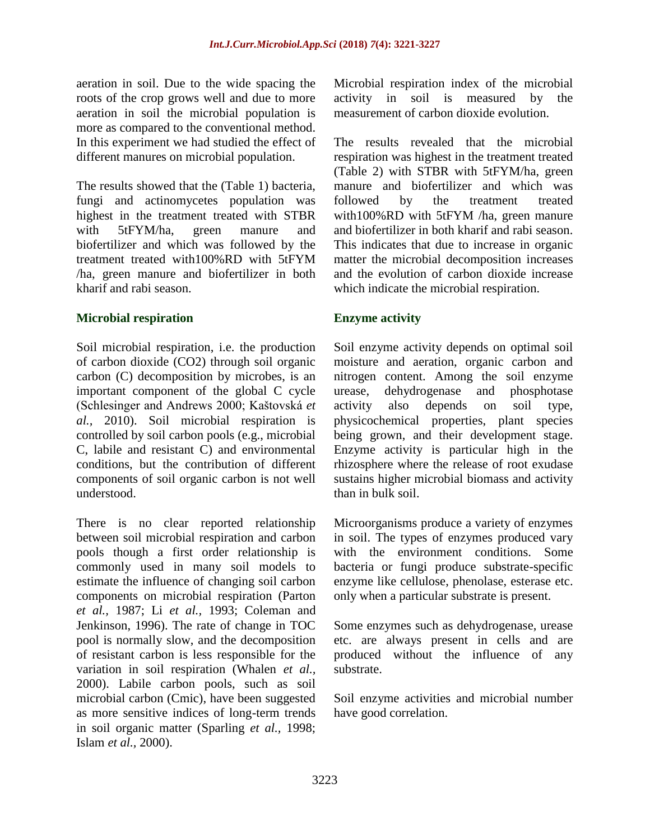aeration in soil. Due to the wide spacing the roots of the crop grows well and due to more aeration in soil the microbial population is more as compared to the conventional method. In this experiment we had studied the effect of different manures on microbial population.

The results showed that the (Table 1) bacteria, fungi and actinomycetes population was highest in the treatment treated with STBR with 5tFYM/ha, green manure and biofertilizer and which was followed by the treatment treated with100%RD with 5tFYM /ha, green manure and biofertilizer in both kharif and rabi season.

#### **Microbial respiration**

Soil microbial respiration, i.e. the production of carbon dioxide (CO2) through soil organic carbon (C) decomposition by microbes, is an important component of the global C cycle (Schlesinger and Andrews 2000; Kaštovská *et al.,* 2010). Soil microbial respiration is controlled by soil carbon pools (e.g., microbial C, labile and resistant C) and environmental conditions, but the contribution of different components of soil organic carbon is not well understood.

There is no clear reported relationship between soil microbial respiration and carbon pools though a first order relationship is commonly used in many soil models to estimate the influence of changing soil carbon components on microbial respiration (Parton *et al.,* 1987; Li *et al.,* 1993; Coleman and Jenkinson, 1996). The rate of change in TOC pool is normally slow, and the decomposition of resistant carbon is less responsible for the variation in soil respiration (Whalen *et al.,* 2000). Labile carbon pools, such as soil microbial carbon (Cmic), have been suggested as more sensitive indices of long-term trends in soil organic matter (Sparling *et al.,* 1998; Islam *et al.,* 2000).

Microbial respiration index of the microbial activity in soil is measured by the measurement of carbon dioxide evolution.

The results revealed that the microbial respiration was highest in the treatment treated (Table 2) with STBR with 5tFYM/ha, green manure and biofertilizer and which was followed by the treatment treated with100%RD with 5tFYM /ha, green manure and biofertilizer in both kharif and rabi season. This indicates that due to increase in organic matter the microbial decomposition increases and the evolution of carbon dioxide increase which indicate the microbial respiration.

### **Enzyme activity**

Soil enzyme activity depends on optimal soil moisture and aeration, organic carbon and nitrogen content. Among the soil enzyme urease, dehydrogenase and phosphotase activity also depends on soil type, physicochemical properties, plant species being grown, and their development stage. Enzyme activity is particular high in the rhizosphere where the release of root exudase sustains higher microbial biomass and activity than in bulk soil.

Microorganisms produce a variety of enzymes in soil. The types of enzymes produced vary with the environment conditions. Some bacteria or fungi produce substrate-specific enzyme like cellulose, phenolase, esterase etc. only when a particular substrate is present.

Some enzymes such as dehydrogenase, urease etc. are always present in cells and are produced without the influence of any substrate.

Soil enzyme activities and microbial number have good correlation.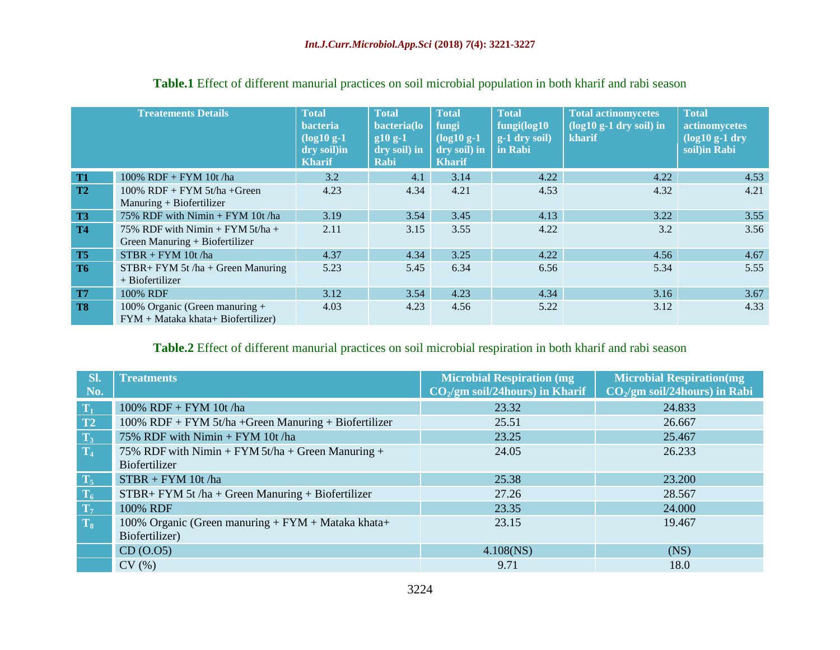|                | <b>Treatements Details</b>                                                | <b>Total</b><br><b>bacteria</b><br>$(log10 g-1)$<br>dry soil)in<br><b>Kharif</b> | <b>Total</b><br>bacteria(lo<br>$g10g-1$<br>dry soil) in<br><b>Rabi</b> | <b>Total</b><br>fungi<br>$(log10 g-1)$<br>dry soil) in<br><b>Kharif</b> | <b>Total</b><br>fungi(log10<br>$\sqrt{g-1}$ dry soil)<br>in Rabi | <b>Total actinomycetes</b><br>$(log10 g-1 dry soil) in$<br>kharif | <b>Total</b><br>actinomycetes<br>$(log10 g-1 dry)$<br>soil)in Rabi |
|----------------|---------------------------------------------------------------------------|----------------------------------------------------------------------------------|------------------------------------------------------------------------|-------------------------------------------------------------------------|------------------------------------------------------------------|-------------------------------------------------------------------|--------------------------------------------------------------------|
| <b>T1</b>      | 100% RDF + FYM 10t /ha                                                    | 3.2                                                                              | 4.1                                                                    | 3.14                                                                    | 4.22                                                             | 4.22                                                              | 4.53                                                               |
| T <sub>2</sub> | $100\%$ RDF + FYM 5t/ha + Green<br>Manuring + Biofertilizer               | 4.23                                                                             | 4.34                                                                   | 4.21                                                                    | 4.53                                                             | 4.32                                                              | 4.21                                                               |
| T <sub>3</sub> | 75% RDF with Nimin + FYM 10t /ha                                          | 3.19                                                                             | 3.54                                                                   | 3.45                                                                    | 4.13                                                             | 3.22                                                              | 3.55                                                               |
| <b>T4</b>      | 75% RDF with Nimin + $FYM 5t/ha +$<br>Green Manuring + Biofertilizer      | 2.11                                                                             | 3.15                                                                   | 3.55                                                                    | 4.22                                                             | 3.2                                                               | 3.56                                                               |
| T <sub>5</sub> | $STBR + FYM 10t/ha$                                                       | 4.37                                                                             | 4.34                                                                   | 3.25                                                                    | 4.22                                                             | 4.56                                                              | 4.67                                                               |
| T <sub>6</sub> | $STBR + FYM 5t /ha + Green Manning$<br>$+$ Biofertilizer                  | 5.23                                                                             | 5.45                                                                   | 6.34                                                                    | 6.56                                                             | 5.34                                                              | 5.55                                                               |
| T7             | 100% RDF                                                                  | 3.12                                                                             | 3.54                                                                   | 4.23                                                                    | 4.34                                                             | 3.16                                                              | 3.67                                                               |
| T <sub>8</sub> | 100% Organic (Green manuring $+$<br>$FYM + Mataka khata + Biofertilizer)$ | 4.03                                                                             | 4.23                                                                   | 4.56                                                                    | 5.22                                                             | 3.12                                                              | 4.33                                                               |

## **Table.1** Effect of different manurial practices on soil microbial population in both kharif and rabi season

#### **Table.2** Effect of different manurial practices on soil microbial respiration in both kharif and rabi season

| SI.<br>No.     | <b>Treatments</b>                                                        | <b>Microbial Respiration (mg)</b><br>$CO_2$ /gm soil/24hours) in Kharif | <b>Microbial Respiration(mg)</b><br>$CO2/gm$ soil/24hours) in Rabi |
|----------------|--------------------------------------------------------------------------|-------------------------------------------------------------------------|--------------------------------------------------------------------|
| $\mathbf{T}_1$ | 100% $RDF + FYM$ 10t/ha                                                  | 23.32                                                                   | 24.833                                                             |
| T2             | $100\%$ RDF + FYM 5t/ha + Green Manuring + Biofertilizer                 | 25.51                                                                   | 26.667                                                             |
| $\mathbf{T}_3$ | 75% RDF with Nimin + FYM 10t /ha                                         | 23.25                                                                   | 25.467                                                             |
| $\mathbf{T}_4$ | 75% RDF with Nimin + FYM 5t/ha + Green Manuring +<br>Biofertilizer       | 24.05                                                                   | 26.233                                                             |
| $\mathbf{T}_5$ | $STBR + FYM 10t/ha$                                                      | 25.38                                                                   | 23.200                                                             |
| $\mathbf{T_6}$ | $STBR + FYM$ 5t /ha + Green Manuring + Biofertilizer                     | 27.26                                                                   | 28.567                                                             |
| $\mathbf{T}_7$ | 100% RDF                                                                 | 23.35                                                                   | 24.000                                                             |
| $\mathbf{T}_8$ | 100% Organic (Green manuring $+$ FYM $+$ Mataka khata+<br>Biofertilizer) | 23.15                                                                   | 19.467                                                             |
|                | CD(0.05)                                                                 | $4.108$ (NS)                                                            | (NS)                                                               |
|                | CV(%)                                                                    | 9.71                                                                    | 18.0                                                               |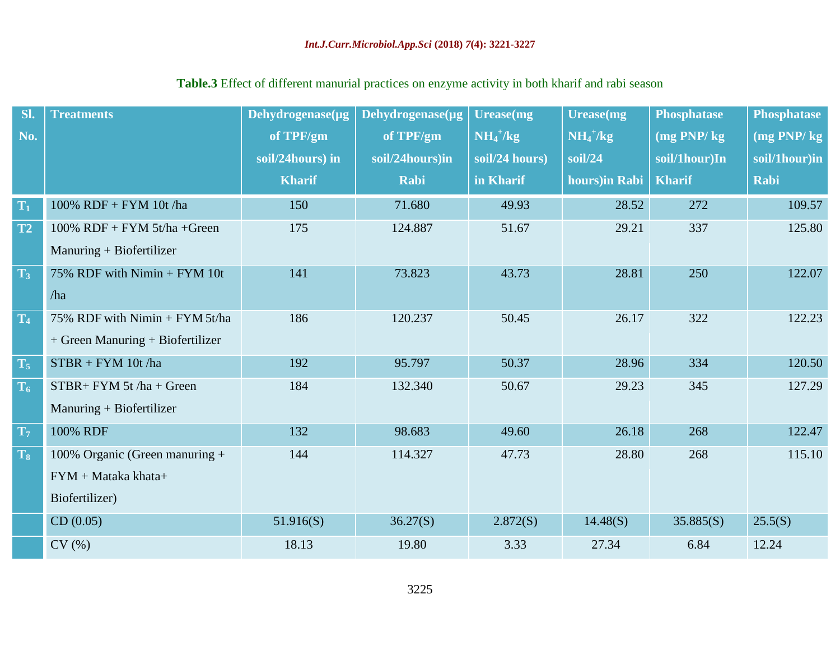#### *Int.J.Curr.Microbiol.App.Sci* **(2018)** *7***(4): 3221-3227**

| SI.            | <b>Treatments</b>                | Dehydrogenase(µg | Dehydrogenase(µg | <b>Urease</b> (mg | <b>Urease</b> (mg | <b>Phosphatase</b> | <b>Phosphatase</b> |
|----------------|----------------------------------|------------------|------------------|-------------------|-------------------|--------------------|--------------------|
| No.            |                                  | of TPF/gm        | of TPF/gm        | $NH_4^+/kg$       | $NH_4^+/kg$       | (mg PNP/kg)        | (mg PNP/kg)        |
|                |                                  | soil/24hours) in | soil/24hours)in  | soil/24 hours)    | soil/24           | soil/1hour)In      | soil/1hour)in      |
|                |                                  | <b>Kharif</b>    | Rabi             | in Kharif         | hours)in Rabi     | <b>Kharif</b>      | <b>Rabi</b>        |
| $T_1$          | 100% RDF + FYM 10t/ha            | 150              | 71.680           | 49.93             | 28.52             | 272                | 109.57             |
| <b>T2</b>      | $100\%$ RDF + FYM 5t/ha +Green   | 175              | 124.887          | 51.67             | 29.21             | 337                | 125.80             |
|                | $Manning + Biofertilizer$        |                  |                  |                   |                   |                    |                    |
| $T_3$          | 75% RDF with Nimin + FYM 10t     | 141              | 73.823           | 43.73             | 28.81             | 250                | 122.07             |
|                | /ha                              |                  |                  |                   |                   |                    |                    |
| T <sub>4</sub> | 75% RDF with Nimin + FYM 5t/ha   | 186              | 120.237          | 50.45             | 26.17             | 322                | 122.23             |
|                | + Green Manuring + Biofertilizer |                  |                  |                   |                   |                    |                    |
| $T_5$          | $STBR + FYM$ 10t/ha              | 192              | 95.797           | 50.37             | 28.96             | 334                | 120.50             |
| $T_6$          | $STBR + FYM$ 5t /ha + Green      | 184              | 132.340          | 50.67             | 29.23             | 345                | 127.29             |
|                | Manuring + Biofertilizer         |                  |                  |                   |                   |                    |                    |
| $T_7$          | 100% RDF                         | 132              | 98.683           | 49.60             | 26.18             | 268                | 122.47             |
| $T_8$          | 100% Organic (Green manuring $+$ | 144              | 114.327          | 47.73             | 28.80             | 268                | 115.10             |
|                | $FYM + Mataka khata+$            |                  |                  |                   |                   |                    |                    |
|                | Biofertilizer)                   |                  |                  |                   |                   |                    |                    |
|                | CD(0.05)                         | 51.916(S)        | 36.27(S)         | 2.872(S)          | 14.48(S)          | 35.885(S)          | 25.5(S)            |
|                | CV(%)                            | 18.13            | 19.80            | 3.33              | 27.34             | 6.84               | 12.24              |

## **Table.3** Effect of different manurial practices on enzyme activity in both kharif and rabi season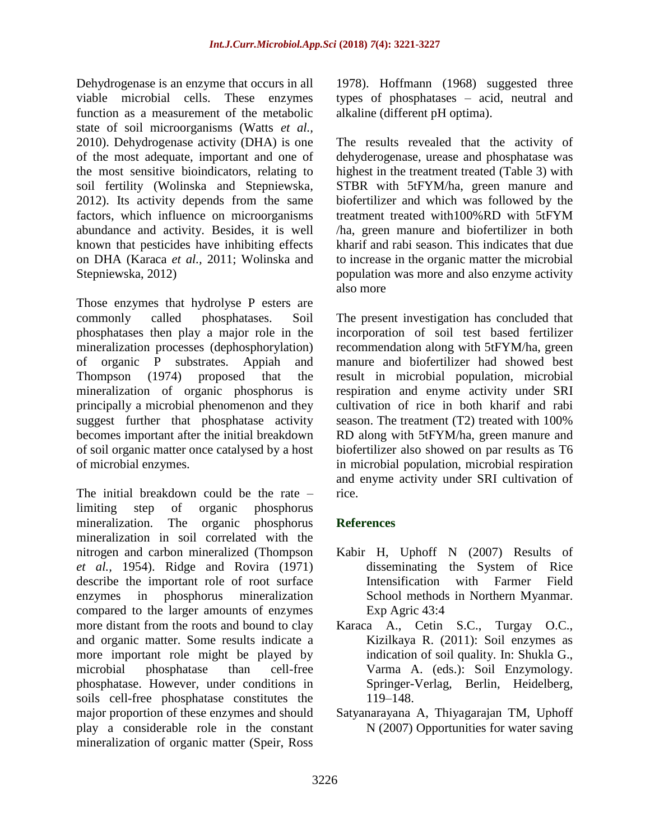Dehydrogenase is an enzyme that occurs in all viable microbial cells. These enzymes function as a measurement of the metabolic state of soil microorganisms (Watts *et al.,* 2010). Dehydrogenase activity (DHA) is one of the most adequate, important and one of the most sensitive bioindicators, relating to soil fertility (Wolinska and Stepniewska, 2012). Its activity depends from the same factors, which influence on microorganisms abundance and activity. Besides, it is well known that pesticides have inhibiting effects on DHA (Karaca *et al.,* 2011; Wolinska and Stepniewska, 2012)

Those enzymes that hydrolyse P esters are commonly called phosphatases. Soil phosphatases then play a major role in the mineralization processes (dephosphorylation) of organic P substrates. Appiah and Thompson (1974) proposed that the mineralization of organic phosphorus is principally a microbial phenomenon and they suggest further that phosphatase activity becomes important after the initial breakdown of soil organic matter once catalysed by a host of microbial enzymes.

The initial breakdown could be the rate – limiting step of organic phosphorus mineralization. The organic phosphorus mineralization in soil correlated with the nitrogen and carbon mineralized (Thompson *et al.,* 1954). Ridge and Rovira (1971) describe the important role of root surface enzymes in phosphorus mineralization compared to the larger amounts of enzymes more distant from the roots and bound to clay and organic matter. Some results indicate a more important role might be played by microbial phosphatase than cell-free phosphatase. However, under conditions in soils cell-free phosphatase constitutes the major proportion of these enzymes and should play a considerable role in the constant mineralization of organic matter (Speir, Ross

1978). Hoffmann (1968) suggested three types of phosphatases – acid, neutral and alkaline (different pH optima).

The results revealed that the activity of dehyderogenase, urease and phosphatase was highest in the treatment treated (Table 3) with STBR with 5tFYM/ha, green manure and biofertilizer and which was followed by the treatment treated with100%RD with 5tFYM /ha, green manure and biofertilizer in both kharif and rabi season. This indicates that due to increase in the organic matter the microbial population was more and also enzyme activity also more

The present investigation has concluded that incorporation of soil test based fertilizer recommendation along with 5tFYM/ha, green manure and biofertilizer had showed best result in microbial population, microbial respiration and enyme activity under SRI cultivation of rice in both kharif and rabi season. The treatment (T2) treated with 100% RD along with 5tFYM/ha, green manure and biofertilizer also showed on par results as T6 in microbial population, microbial respiration and enyme activity under SRI cultivation of rice.

### **References**

- Kabir H, Uphoff N (2007) Results of disseminating the System of Rice Intensification with Farmer Field School methods in Northern Myanmar. Exp Agric 43:4
- Karaca A., Cetin S.C., Turgay O.C., Kizilkaya R. (2011): Soil enzymes as indication of soil quality. In: Shukla G., Varma A. (eds.): Soil Enzymology. Springer-Verlag, Berlin, Heidelberg, 119–148.
- Satyanarayana A, Thiyagarajan TM, Uphoff N (2007) Opportunities for water saving